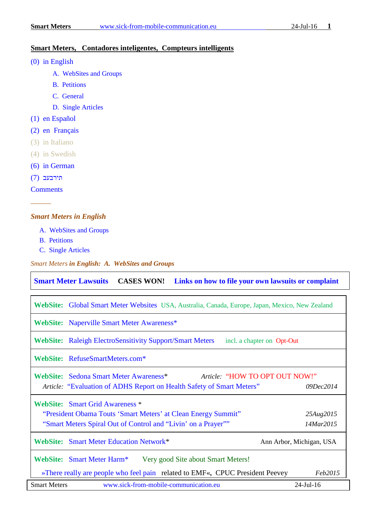### **Smart Meters, Contadores inteligentes, Compteurs intelligents**

- [\(0\) in English](#page-0-0)
	- [A. WebSites and Groups](#page-0-1)
	- [B. Petitions](#page-1-0)
	- C. General
	- [D. Single Articles](#page-2-0)
- [\(1\) en Español](#page-5-0)
- [\(2\) en Français](#page-5-1)
- (3) in Italiano
- (4) in Swedish
- [\(6\) in German](#page-6-0)
- [תירבעב](#page-6-1) (7)

**[Comments](#page-6-2)** 

*––––––*

#### <span id="page-0-0"></span>*Smart Meters in English*

- [A. WebSites and Groups](#page-0-1)
- [B. Petitions](#page-1-0)
- C. Single Articles

<span id="page-0-1"></span>*Smart Meters in English: A. WebSites and Groups*

**[Smart Meter Lawsuits](http://stopsmartmeters.org/smart-meter-lawsuits/) CASES WON! [Links on how to file your own lawsuits or complaint](http://www.electrosmogprevention.org/take-action-against-smart-meters-ca/file-a-discrimination-complaint-with-us-doj/)**

| WebSite: Global Smart Meter Websites USA, Australia, Canada, Europe, Japan, Mexico, New Zealand                                                                          |                          |  |
|--------------------------------------------------------------------------------------------------------------------------------------------------------------------------|--------------------------|--|
| WebSite: Naperville Smart Meter Awareness*                                                                                                                               |                          |  |
| <b>WebSite:</b> Raleigh ElectroSensitivity Support/Smart Meters<br>incl. a chapter on Opt-Out                                                                            |                          |  |
| WebSite: RefuseSmartMeters.com*                                                                                                                                          |                          |  |
| WebSite: Sedona Smart Meter Awareness*<br>Article: "HOW TO OPT OUT NOW!"<br>Article: "Evaluation of ADHS Report on Health Safety of Smart Meters"                        | 09Dec2014                |  |
| <b>WebSite: Smart Grid Awareness *</b><br>"President Obama Touts 'Smart Meters' at Clean Energy Summit"<br>"Smart Meters Spiral Out of Control and "Livin" on a Prayer"" | 25Aug2015<br>14Mar2015   |  |
| <b>WebSite: Smart Meter Education Network*</b>                                                                                                                           | Ann Arbor, Michigan, USA |  |
| WebSite: Smart Meter Harm*<br>Very good Site about Smart Meters!                                                                                                         |                          |  |
| »There really are people who feel pain related to EMF«, CPUC President Peevey                                                                                            | <i>Feb2015</i>           |  |
| <b>Smart Meters</b><br>www.sick-from-mobile-communication.eu                                                                                                             | $24$ -Jul-16             |  |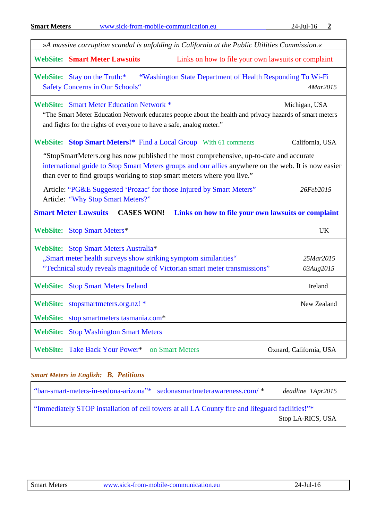| <b>Smart Meters</b> |                                                                                                                         | www.sick-from-mobile-communication.eu                                                                                                                                                                                                                                    | 24-Jul-16<br>2          |
|---------------------|-------------------------------------------------------------------------------------------------------------------------|--------------------------------------------------------------------------------------------------------------------------------------------------------------------------------------------------------------------------------------------------------------------------|-------------------------|
|                     |                                                                                                                         | »A massive corruption scandal is unfolding in California at the Public Utilities Commission.«                                                                                                                                                                            |                         |
|                     | <b>WebSite: Smart Meter Lawsuits</b>                                                                                    | Links on how to file your own lawsuits or complaint                                                                                                                                                                                                                      |                         |
|                     | WebSite: Stay on the Truth:*<br><b>Safety Concerns in Our Schools"</b>                                                  | "Washington State Department of Health Responding To Wi-Fi                                                                                                                                                                                                               | 4Mar2015                |
|                     | <b>WebSite:</b> Smart Meter Education Network *<br>and fights for the rights of everyone to have a safe, analog meter." | "The Smart Meter Education Network educates people about the health and privacy hazards of smart meters                                                                                                                                                                  | Michigan, USA           |
|                     |                                                                                                                         | WebSite: Stop Smart Meters!* Find a Local Group With 61 comments                                                                                                                                                                                                         | California, USA         |
|                     |                                                                                                                         | "StopSmartMeters.org has now published the most comprehensive, up-to-date and accurate<br>international guide to Stop Smart Meters groups and our allies anywhere on the web. It is now easier<br>than ever to find groups working to stop smart meters where you live." |                         |
|                     | Article: "Why Stop Smart Meters?"                                                                                       | Article: "PG&E Suggested 'Prozac' for those Injured by Smart Meters"                                                                                                                                                                                                     | 26Feb2015               |
|                     | <b>Smart Meter Lawsuits</b><br><b>CASES WON!</b>                                                                        | Links on how to file your own lawsuits or complaint                                                                                                                                                                                                                      |                         |
|                     | WebSite: Stop Smart Meters*                                                                                             |                                                                                                                                                                                                                                                                          | <b>UK</b>               |
|                     | WebSite: Stop Smart Meters Australia*                                                                                   |                                                                                                                                                                                                                                                                          |                         |
|                     |                                                                                                                         | "Smart meter health surveys show striking symptom similarities"                                                                                                                                                                                                          | 25Mar2015               |
|                     |                                                                                                                         | "Technical study reveals magnitude of Victorian smart meter transmissions"                                                                                                                                                                                               | 03Aug2015               |
| <b>WebSite:</b>     | <b>Stop Smart Meters Ireland</b>                                                                                        |                                                                                                                                                                                                                                                                          | Ireland                 |
| <b>WebSite:</b>     | stopsmartmeters.org.nz! *                                                                                               |                                                                                                                                                                                                                                                                          | New Zealand             |
| <b>WebSite:</b>     | stop smartmeters tasmania.com*                                                                                          |                                                                                                                                                                                                                                                                          |                         |
| <b>WebSite:</b>     | <b>Stop Washington Smart Meters</b>                                                                                     |                                                                                                                                                                                                                                                                          |                         |
| <b>WebSite:</b>     | Take Back Your Power*                                                                                                   | on Smart Meters                                                                                                                                                                                                                                                          | Oxnard, California, USA |
|                     |                                                                                                                         |                                                                                                                                                                                                                                                                          |                         |

## <span id="page-1-0"></span>*Smart Meters in English: B. Petitions*

| "ban-smart-meters-in-sedona-arizona"* sedonasmartmeterawareness.com/*                           |  | deadline 1Apr2015 |  |
|-------------------------------------------------------------------------------------------------|--|-------------------|--|
| "Immediately STOP installation of cell towers at all LA County fire and lifeguard facilities!"* |  |                   |  |
|                                                                                                 |  | Stop LA-RICS, USA |  |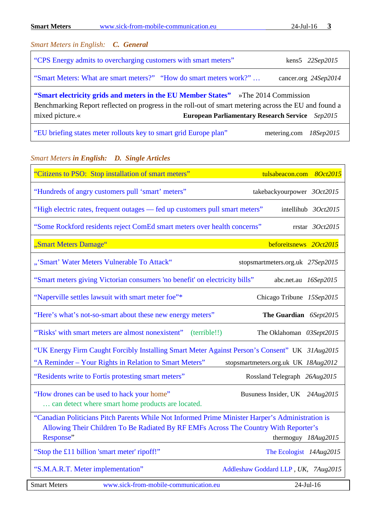| <b>Smart Meters</b>                                                                                                                                                                                                                                                     | www.sick-from-mobile-communication.eu                              | 3<br>$24$ -Jul-16          |  |
|-------------------------------------------------------------------------------------------------------------------------------------------------------------------------------------------------------------------------------------------------------------------------|--------------------------------------------------------------------|----------------------------|--|
|                                                                                                                                                                                                                                                                         | <b>Smart Meters in English: C. General</b>                         |                            |  |
|                                                                                                                                                                                                                                                                         | "CPS Energy admits to overcharging customers with smart meters"    | kens5 $22$ <i>Sep</i> 2015 |  |
|                                                                                                                                                                                                                                                                         | "Smart Meters: What are smart meters?" "How do smart meters work?" | cancer.org 24Sep2014       |  |
| "Smart electricity grids and meters in the EU Member States" »The 2014 Commission<br>Benchmarking Report reflected on progress in the roll-out of smart metering across the EU and found a<br>mixed picture.«<br><b>European Parliamentary Research Service</b> Sep2015 |                                                                    |                            |  |
|                                                                                                                                                                                                                                                                         | "EU briefing states meter rollouts key to smart grid Europe plan"  | metering.com<br>18Sep2015  |  |

# <span id="page-2-0"></span>*Smart Meters in English: D. Single Articles*

| "Citizens to PSO: Stop installation of smart meters"                                                                                                                                                  | tulsabeacon.com 8Oct2015               |
|-------------------------------------------------------------------------------------------------------------------------------------------------------------------------------------------------------|----------------------------------------|
| "Hundreds of angry customers pull 'smart' meters"                                                                                                                                                     | takebackyourpower 3Oct2015             |
| "High electric rates, frequent outages — fed up customers pull smart meters"                                                                                                                          | intellihub 3Oct2015                    |
| "Some Rockford residents reject ComEd smart meters over health concerns"                                                                                                                              | rrstar 3Oct2015                        |
| "Smart Meters Damage"                                                                                                                                                                                 | beforeitsnews 2Oct2015                 |
| "'Smart' Water Meters Vulnerable To Attack"                                                                                                                                                           | stopsmartmeters.org.uk 27Sep2015       |
| "Smart meters giving Victorian consumers 'no benefit' on electricity bills"                                                                                                                           | abc.net.au 16Sep2015                   |
| "Naperville settles lawsuit with smart meter foe"*                                                                                                                                                    | Chicago Tribune 15Sep2015              |
| "Here's what's not-so-smart about these new energy meters"                                                                                                                                            | The Guardian 6Sept2015                 |
| "Risks' with smart meters are almost nonexistent"<br>(terrible!!)                                                                                                                                     | The Oklahoman 03Sept2015               |
| "UK Energy Firm Caught Forcibly Installing Smart Meter Against Person's Consent" UK 31Aug2015<br>"A Reminder – Your Rights in Relation to Smart Meters"                                               | stopsmartmeters.org.uk UK 18Aug2012    |
| "Residents write to Fortis protesting smart meters"                                                                                                                                                   | Rossland Telegraph 26Aug2015           |
| "How drones can be used to hack your home"<br>can detect where smart home products are located.                                                                                                       | Busuness Insider, UK 24Aug2015         |
| "Canadian Politicians Pitch Parents While Not Informed Prime Minister Harper's Administration is<br>Allowing Their Children To Be Radiated By RF EMFs Across The Country With Reporter's<br>Response" | thermoguy 18Aug2015                    |
| "Stop the £11 billion 'smart meter' ripoff!"                                                                                                                                                          | The Ecologist 14Aug2015                |
| "S.M.A.R.T. Meter implementation"                                                                                                                                                                     | Addleshaw Goddard LLP, UK,<br>7Aug2015 |
| www.sick-from-mobile-communication.eu<br><b>Smart Meters</b>                                                                                                                                          | 24-Jul-16                              |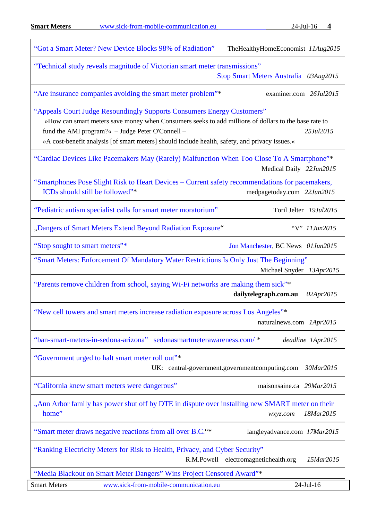Г

| "Got a Smart Meter? New Device Blocks 98% of Radiation"<br>TheHealthyHomeEconomist 11Aug2015                                                                                                                                                                                                                                                      |           |
|---------------------------------------------------------------------------------------------------------------------------------------------------------------------------------------------------------------------------------------------------------------------------------------------------------------------------------------------------|-----------|
| "Technical study reveals magnitude of Victorian smart meter transmissions"<br>Stop Smart Meters Australia 03Aug2015                                                                                                                                                                                                                               |           |
| "Are insurance companies avoiding the smart meter problem"*<br>examiner.com 26Jul2015                                                                                                                                                                                                                                                             |           |
| "Appeals Court Judge Resoundingly Supports Consumers Energy Customers"<br>»How can smart meters save money when Consumers seeks to add millions of dollars to the base rate to<br>fund the AMI program?« - Judge Peter O'Connell -<br>25Jul2015<br>»A cost-benefit analysis [of smart meters] should include health, safety, and privacy issues.« |           |
| "Cardiac Devices Like Pacemakers May (Rarely) Malfunction When Too Close To A Smartphone"*<br>Medical Daily 22Jun2015                                                                                                                                                                                                                             |           |
| "Smartphones Pose Slight Risk to Heart Devices – Current safety recommendations for pacemakers,<br>ICDs should still be followed"*<br>medpagetoday.com 22Jun2015                                                                                                                                                                                  |           |
| "Pediatric autism specialist calls for smart meter moratorium"<br>Toril Jelter 19Jul2015                                                                                                                                                                                                                                                          |           |
| "Dangers of Smart Meters Extend Beyond Radiation Exposure"<br>"V" 11Jun2015                                                                                                                                                                                                                                                                       |           |
| "Stop sought to smart meters"*<br>Jon Manchester, BC News 01Jun2015                                                                                                                                                                                                                                                                               |           |
| "Smart Meters: Enforcement Of Mandatory Water Restrictions Is Only Just The Beginning"<br>Michael Snyder 13Apr2015                                                                                                                                                                                                                                |           |
| "Parents remove children from school, saying Wi-Fi networks are making them sick"*<br>dailytelegraph.com.au<br>02Apr2015                                                                                                                                                                                                                          |           |
| "New cell towers and smart meters increase radiation exposure across Los Angeles"*<br>naturalnews.com 1Apr2015                                                                                                                                                                                                                                    |           |
| "ban-smart-meters-in-sedona-arizona" sedonasmartmeterawareness.com/ *<br>deadline 1Apr2015                                                                                                                                                                                                                                                        |           |
| "Government urged to halt smart meter roll out"*<br>UK: central-government.governmentcomputing.com<br>30Mar2015                                                                                                                                                                                                                                   |           |
| "California knew smart meters were dangerous"<br>maisonsaine.ca 29Mar2015                                                                                                                                                                                                                                                                         |           |
| "Ann Arbor family has power shut off by DTE in dispute over installing new SMART meter on their<br>home"<br>18Mar2015<br>wxyz.com                                                                                                                                                                                                                 |           |
| "Smart meter draws negative reactions from all over B.C."*<br>langleyadvance.com 17Mar2015                                                                                                                                                                                                                                                        |           |
| "Ranking Electricity Meters for Risk to Health, Privacy, and Cyber Security"<br>R.M.Powell<br>electromagnetichealth.org                                                                                                                                                                                                                           | 15Mar2015 |
| "Media Blackout on Smart Meter Dangers" Wins Project Censored Award"*                                                                                                                                                                                                                                                                             |           |
| 24-Jul-16<br><b>Smart Meters</b><br>www.sick-from-mobile-communication.eu                                                                                                                                                                                                                                                                         |           |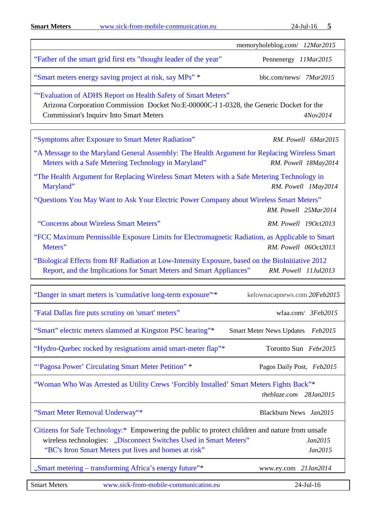**Smart Meters** [www.sick-from-mobile-communication.eu](http://www.sick-from-mobile-communication.eu/) 24-Jul-16 **5**

|                                                                                                                                                                                                                               | memoryholeblog.com/ 12Mar2015                     |
|-------------------------------------------------------------------------------------------------------------------------------------------------------------------------------------------------------------------------------|---------------------------------------------------|
| "Father of the smart grid first ets "thought leader of the year"                                                                                                                                                              | Pennenergy 11Mar2015                              |
| "Smart meters energy saving project at risk, say MPs" *                                                                                                                                                                       | bbc.com/news/ 7Mar2015                            |
| ""Evaluation of ADHS Report on Health Safety of Smart Meters"<br>Arizona Corporation Commission Docket No:E-00000C-I 1-0328, the Generic Docket for the<br><b>Commission's Inquiry Into Smart Meters</b>                      | 4Nov2014                                          |
| "Symptoms after Exposure to Smart Meter Radiation"                                                                                                                                                                            | RM. Powell 6Mar2015                               |
| "A Message to the Maryland General Assembly: The Health Argument for Replacing Wireless Smart<br>Meters with a Safe Metering Technology in Maryland"                                                                          | RM. Powell 18May2014                              |
| "The Health Argument for Replacing Wireless Smart Meters with a Safe Metering Technology in<br>Maryland"                                                                                                                      | RM. Powell 1May2014                               |
| "Questions You May Want to Ask Your Electric Power Company about Wireless Smart Meters"                                                                                                                                       | RM. Powell 25Mar2014                              |
| "Concerns about Wireless Smart Meters"                                                                                                                                                                                        | RM. Powell 19Oct2013                              |
| "FCC Maximum Permissible Exposure Limits for Electromagnetic Radiation, as Applicable to Smart<br>Meters"                                                                                                                     | RM. Powell 06Oct2013                              |
| "Biological Effects from RF Radiation at Low-Intensity Exposure, based on the BioInitiative 2012<br>Report, and the Implications for Smart Meters and Smart Appliances"                                                       | RM. Powell 11Jul2013                              |
| "Danger in smart meters is 'cumulative long-term exposure" <sup>*</sup>                                                                                                                                                       | kelownacapnews.com 20Feb2015                      |
| "Fatal Dallas fire puts scrutiny on 'smart' meters"                                                                                                                                                                           | wfaa.com/ 3Feb2015                                |
| "Smart" electric meters slammed at Kingston PSC hearing"*                                                                                                                                                                     | <b>Smart Meter News Updates</b><br><i>Feb2015</i> |
| "Hydro-Quebec rocked by resignations amid smart-meter flap"*                                                                                                                                                                  | Toronto Sun Febr2015                              |
| "'Pagosa Power' Circulating Smart Meter Petition" *                                                                                                                                                                           | Pagos Daily Post, Feb2015                         |
| "Woman Who Was Arrested as Utility Crews 'Forcibly Installed' Smart Meters Fights Back"*                                                                                                                                      | theblaze.com 28Jan2015                            |
| "Smart Meter Removal Underway"*                                                                                                                                                                                               | Blackburn News Jan2015                            |
| Citizens for Safe Technology:* Empowering the public to protect children and nature from unsafe<br>wireless technologies: "Disconnect Switches Used in Smart Meters"<br>"BC's Itron Smart Meters put lives and homes at risk" | Jan2015<br>Jan2015                                |
| "Smart metering - transforming Africa's energy future"*                                                                                                                                                                       | www.ey.com 21Jan2014                              |
| <b>Smart Meters</b><br>www.sick-from-mobile-communication.eu                                                                                                                                                                  | 24-Jul-16                                         |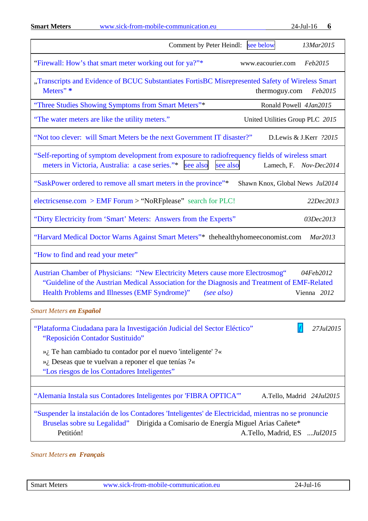**Smart Meters** [www.sick-from-mobile-communication.eu](http://www.sick-from-mobile-communication.eu/) 24-Jul-16 **6**

| see below<br>Comment by Peter Heindl:<br>13Mar2015                                                                                                                                                                                                                          |
|-----------------------------------------------------------------------------------------------------------------------------------------------------------------------------------------------------------------------------------------------------------------------------|
| "Firewall: How's that smart meter working out for ya?"*<br>www.eacourier.com<br>Feb2015                                                                                                                                                                                     |
| "Transcripts and Evidence of BCUC Substantiates FortisBC Misrepresented Safety of Wireless Smart<br>Meters" *<br>thermoguy.com<br>Feb2015                                                                                                                                   |
| "Three Studies Showing Symptoms from Smart Meters"*<br>Ronald Powell 4Jan2015                                                                                                                                                                                               |
| "The water meters are like the utility meters."<br>United Utilities Group PLC 2015                                                                                                                                                                                          |
| "Not too clever: will Smart Meters be the next Government IT disaster?"<br>D.Lewis & J.Kerr ?2015                                                                                                                                                                           |
| "Self-reporting of symptom development from exposure to radiofrequency fields of wireless smart<br>meters in Victoria, Australia: a case series."* see also<br>see also<br>Lamech, F. Nov-Dec2014                                                                           |
| "SaskPower ordered to remove all smart meters in the province"*<br>Shawn Knox, Global News Jul2014                                                                                                                                                                          |
| electricsense.com > EMF Forum > "NoRFplease" search for PLC!<br>22Dec2013                                                                                                                                                                                                   |
| "Dirty Electricity from 'Smart' Meters: Answers from the Experts"<br>03Dec2013                                                                                                                                                                                              |
| "Harvard Medical Doctor Warns Against Smart Meters"* thehealthyhomeeconomist.com<br>Mar2013                                                                                                                                                                                 |
| "How to find and read your meter"                                                                                                                                                                                                                                           |
| Austrian Chamber of Physicians: "New Electricity Meters cause more Electrosmog"<br>04Feb2012<br>"Guideline of the Austrian Medical Association for the Diagnosis and Treatment of EMF-Related<br>Health Problems and Illnesses (EMF Syndrome)"<br>(see also)<br>Vienna 2012 |
| <b>Smart Meters en Español</b>                                                                                                                                                                                                                                              |

<span id="page-5-0"></span>["Plataforma Ciudadana para la Investigación Judicial del Sector Eléctico"](https://plataforma.quieroauditoriaenergetica.org/) ƒ *27Jul2015* ["Reposición Contador Sustituido"](https://plataforma.quieroauditoriaenergetica.org/blog/15-categoria-blog-2/86-reposicion-contador) »¿ Te han cambiado tu contador por el nuevo 'inteligente' ?« »¿ Deseas que te vuelvan a reponer el que tenías ?« ["Los riesgos de los Contadores Inteligentes"](http://www.peccem.org/DocumentacionDescarga/Contadores/Charla_PELIGRO_CONTADORES_INTELIGENTES.pdf) ["Alemania Instala sus Contadores Inteligentes por 'FIBRA OPTICA'"](https://www.change.org/p/comisario-de-energ%C3%ADa-miguel-arias-ca%C3%B1ete-suspender-la-instalaci%C3%B3n-de-los-contadores-inteligentes-de-electricidad-mientras-no-se-pronuncie-bruselas-sobre-su-legalidad/u/11503900?recruiter=18288613&utm_source=share_upd) A.Tello, Madrid *24Jul2015* ["Suspender la instalación de los Contadores 'Inteligentes' de Electricidad, mientras no se pronuncie](https://www.change.org/p/comisario-de-energ%C3%ADa-miguel-arias-ca%C3%B1ete-suspender-la-instalaci%C3%B3n-de-los-contadores-inteligentes-de-electricidad-mientras-no-se-pronuncie-bruselas-sobre-su-legalidad)  [Bruselas sobre su Legalidad"](https://www.change.org/p/comisario-de-energ%C3%ADa-miguel-arias-ca%C3%B1ete-suspender-la-instalaci%C3%B3n-de-los-contadores-inteligentes-de-electricidad-mientras-no-se-pronuncie-bruselas-sobre-su-legalidad) Dirigida a Comisario de Energía Miguel Arias Cañete\* Petitión! A.Tello, Madrid, ES ...*Jul2015* 

<span id="page-5-1"></span>*Smart Meters en Français*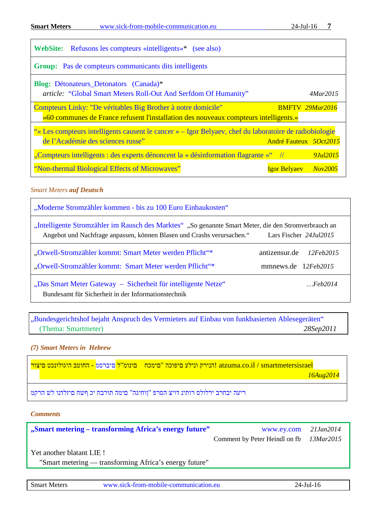| <b>WebSite:</b> Refusons les compteurs «intelligents»* (see also)                                                                                    |                             |          |
|------------------------------------------------------------------------------------------------------------------------------------------------------|-----------------------------|----------|
| Group: Pas de compteurs communicants dits intelligents                                                                                               |                             |          |
| <b>Blog:</b> Détonateurs_Detonators (Canada)*<br><i>article:</i> "Global Smart Meters Roll-Out And Serfdom Of Humanity"                              |                             | 4Mar2015 |
| Compteurs Linky: "De véritables Big Brother à notre domicile"<br>»60 communes de France refusent l'installation des nouveaux compteurs intelligents. | <b>BMFTV 29Mar2016</b>      |          |
| "« Les compteurs intelligents causent le cancer » – Igor Belyaev, chef du laboratoire de radiobiologie<br>de l'Académie des sciences russe"          | André Fauteux 50ct2015      |          |
| "Compteurs intelligents : des experts dénoncent la « désinformation flagrante »" $\frac{1}{2}$                                                       |                             | 9Jul2015 |
| "Non-thermal Biological Effects of Microwaves"                                                                                                       | <b>Igor Belyaev</b> Nov2005 |          |

**Smart Meters** [www.sick-from-mobile-communication.eu](http://www.sick-from-mobile-communication.eu/) 24-Jul-16 **7**

## <span id="page-6-0"></span>*Smart Meters auf Deutsch*

| "Moderne Stromzähler kommen - bis zu 100 Euro Einbaukosten"                                                                                                                                                        |                                                   |  |
|--------------------------------------------------------------------------------------------------------------------------------------------------------------------------------------------------------------------|---------------------------------------------------|--|
| "Intelligente Stromzähler im Rausch des Marktes" "So genannte Smart Meter, die den Stromverbrauch an<br>Angebot und Nachfrage anpassen, können Blasen und Crashs verursachen."<br>Lars Fischer 24. <i>Jul</i> 2015 |                                                   |  |
| "Orwell-Stromzähler kommt: Smart Meter werden Pflicht"*<br>"Orwell-Stromzähler kommt: Smart Meter werden Pflicht"*                                                                                                 | antizensur de<br>12Feh2015<br>mmnews.de 12Feb2015 |  |
| "Das Smart Meter Gateway – Sicherheit für intelligente Netze"<br>Bundesamt für Sicherheit in der Informationstechnik                                                                                               | Feh2014                                           |  |

"Bundesgerichtshof bejaht Anspruch des Vermieters auf Einbau von funkbasierten Ablesegeräten" (Thema: Smartmeter) *28Sep2011* 

## <span id="page-6-1"></span>*(7) Smart Meters in Hebrew*

atzuma.co.il / smartmetersisrael <mark>הנירק ונילע םיפוכה "םימכח \_ םינומ"ל </mark>םיברסמ <mark>- החוטב היגולונכט םיצור</mark>  *16Aug2014*

ריעה יבחרב ירלולס רותינ דויצ הסרפ "ןוחיגה" םימה תורבח יכ ףשח [םיזלדנו](http://norad4uh.blogspot.com.es/2015/08/blog-post_26.html) לש הרקמ

*Comments*

| "Smart metering – transforming Africa's energy future"                                                                                                                                                                                                                                                              | www.ey.com 21Jan2014                    |  |
|---------------------------------------------------------------------------------------------------------------------------------------------------------------------------------------------------------------------------------------------------------------------------------------------------------------------|-----------------------------------------|--|
|                                                                                                                                                                                                                                                                                                                     | Comment by Peter Heindl on fb 13Mar2015 |  |
| Yet another blatant LIE!<br>$\mathbf{H} \mathbf{C}_{n+1}$ and $\mathbf{C}_{n+1}$ is the set of $\mathbf{C}_{n+1}$ is $\mathbf{C}_{n+1}$ is the set of $\mathbf{C}_{n+1}$ is the set of $\mathbf{C}_{n+1}$ is the set of $\mathbf{C}_{n+1}$ is the set of $\mathbf{C}_{n+1}$ is the set of $\mathbf{C}_{n+1}$ is the |                                         |  |

<span id="page-6-2"></span>'Smart metering - transforming Africa's energy future